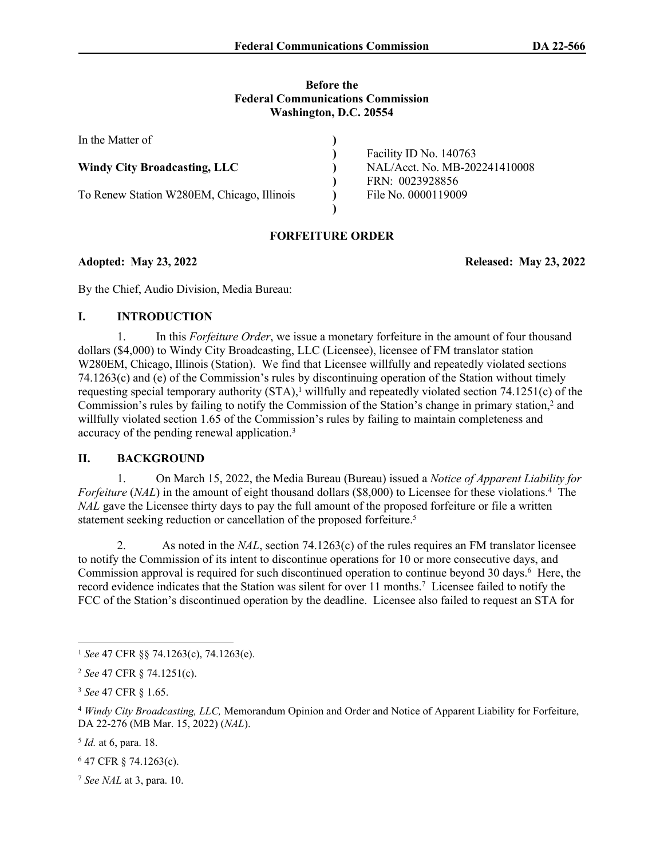#### **Before the Federal Communications Commission Washington, D.C. 20554**

| In the Matter of                           |                               |
|--------------------------------------------|-------------------------------|
|                                            | Facility ID No. 140763        |
| <b>Windy City Broadcasting, LLC</b>        | NAL/Acct. No. MB-202241410008 |
|                                            | FRN: 0023928856               |
| To Renew Station W280EM, Chicago, Illinois | File No. 0000119009           |
|                                            |                               |

# **FORFEITURE ORDER**

**Adopted: May 23, 2022 Released: May 23, 2022**

By the Chief, Audio Division, Media Bureau:

## **I. INTRODUCTION**

1. In this *Forfeiture Order*, we issue a monetary forfeiture in the amount of four thousand dollars (\$4,000) to Windy City Broadcasting, LLC (Licensee), licensee of FM translator station W280EM, Chicago, Illinois (Station). We find that Licensee willfully and repeatedly violated sections 74.1263(c) and (e) of the Commission's rules by discontinuing operation of the Station without timely requesting special temporary authority  $(STA)$ ,<sup>1</sup> willfully and repeatedly violated section  $74.1251(c)$  of the Commission's rules by failing to notify the Commission of the Station's change in primary station,<sup>2</sup> and willfully violated section 1.65 of the Commission's rules by failing to maintain completeness and accuracy of the pending renewal application.<sup>3</sup>

### **II. BACKGROUND**

1. On March 15, 2022, the Media Bureau (Bureau) issued a *Notice of Apparent Liability for*  Forfeiture (NAL) in the amount of eight thousand dollars (\$8,000) to Licensee for these violations.<sup>4</sup> The *NAL* gave the Licensee thirty days to pay the full amount of the proposed forfeiture or file a written statement seeking reduction or cancellation of the proposed forfeiture.<sup>5</sup>

2. As noted in the *NAL*, section 74.1263(c) of the rules requires an FM translator licensee to notify the Commission of its intent to discontinue operations for 10 or more consecutive days, and Commission approval is required for such discontinued operation to continue beyond 30 days.<sup>6</sup> Here, the record evidence indicates that the Station was silent for over 11 months.<sup>7</sup> Licensee failed to notify the FCC of the Station's discontinued operation by the deadline. Licensee also failed to request an STA for

<sup>1</sup> *See* 47 CFR §§ 74.1263(c), 74.1263(e).

<sup>2</sup> *See* 47 CFR § 74.1251(c).

<sup>3</sup> *See* 47 CFR § 1.65.

<sup>4</sup> *Windy City Broadcasting, LLC,* Memorandum Opinion and Order and Notice of Apparent Liability for Forfeiture, DA 22-276 (MB Mar. 15, 2022) (*NAL*).

<sup>5</sup> *Id.* at 6, para. 18.

<sup>6</sup> 47 CFR § 74.1263(c).

<sup>7</sup> *See NAL* at 3, para. 10.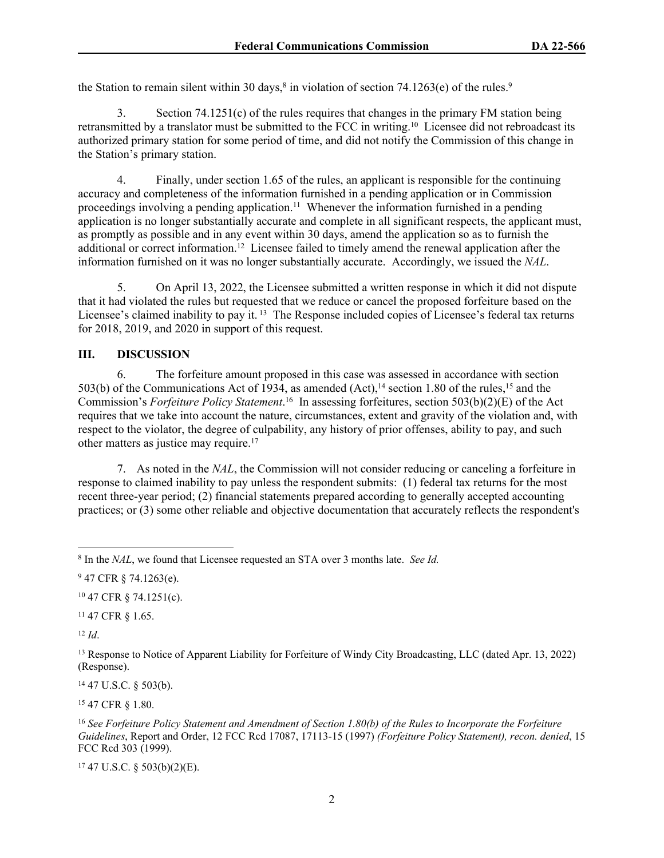the Station to remain silent within 30 days,<sup>8</sup> in violation of section 74.1263(e) of the rules.<sup>9</sup>

3. Section 74.1251(c) of the rules requires that changes in the primary FM station being retransmitted by a translator must be submitted to the FCC in writing.<sup>10</sup> Licensee did not rebroadcast its authorized primary station for some period of time, and did not notify the Commission of this change in the Station's primary station.

4. Finally, under section 1.65 of the rules, an applicant is responsible for the continuing accuracy and completeness of the information furnished in a pending application or in Commission proceedings involving a pending application.<sup>11</sup> Whenever the information furnished in a pending application is no longer substantially accurate and complete in all significant respects, the applicant must, as promptly as possible and in any event within 30 days, amend the application so as to furnish the additional or correct information.<sup>12</sup> Licensee failed to timely amend the renewal application after the information furnished on it was no longer substantially accurate. Accordingly, we issued the *NAL*.

5. On April 13, 2022, the Licensee submitted a written response in which it did not dispute that it had violated the rules but requested that we reduce or cancel the proposed forfeiture based on the Licensee's claimed inability to pay it.<sup>13</sup> The Response included copies of Licensee's federal tax returns for 2018, 2019, and 2020 in support of this request.

### **III. DISCUSSION**

6. The forfeiture amount proposed in this case was assessed in accordance with section 503(b) of the Communications Act of  $\hat{1}93\hat{4}$ , as amended (Act),<sup>14</sup> section 1.80 of the rules,<sup>15</sup> and the Commission's *Forfeiture Policy Statement*. <sup>16</sup> In assessing forfeitures, section 503(b)(2)(E) of the Act requires that we take into account the nature, circumstances, extent and gravity of the violation and, with respect to the violator, the degree of culpability, any history of prior offenses, ability to pay, and such other matters as justice may require.<sup>17</sup>

7. As noted in the *NAL*, the Commission will not consider reducing or canceling a forfeiture in response to claimed inability to pay unless the respondent submits: (1) federal tax returns for the most recent three-year period; (2) financial statements prepared according to generally accepted accounting practices; or (3) some other reliable and objective documentation that accurately reflects the respondent's

<sup>10</sup> 47 CFR § 74.1251(c).

<sup>11</sup> 47 CFR § 1.65.

<sup>12</sup> *Id*.

<sup>14</sup> 47 U.S.C. § 503(b).

<sup>15</sup> 47 CFR § 1.80.

 $17$  47 U.S.C. § 503(b)(2)(E).

<sup>8</sup> In the *NAL*, we found that Licensee requested an STA over 3 months late. *See Id.*

<sup>9</sup> 47 CFR § 74.1263(e).

<sup>13</sup> Response to Notice of Apparent Liability for Forfeiture of Windy City Broadcasting, LLC (dated Apr. 13, 2022) (Response).

<sup>16</sup> *See Forfeiture Policy Statement and Amendment of Section 1.80(b) of the Rules to Incorporate the Forfeiture Guidelines*, Report and Order, 12 FCC Rcd 17087, 17113-15 (1997) *(Forfeiture Policy Statement), recon. denied*, 15 FCC Rcd 303 (1999).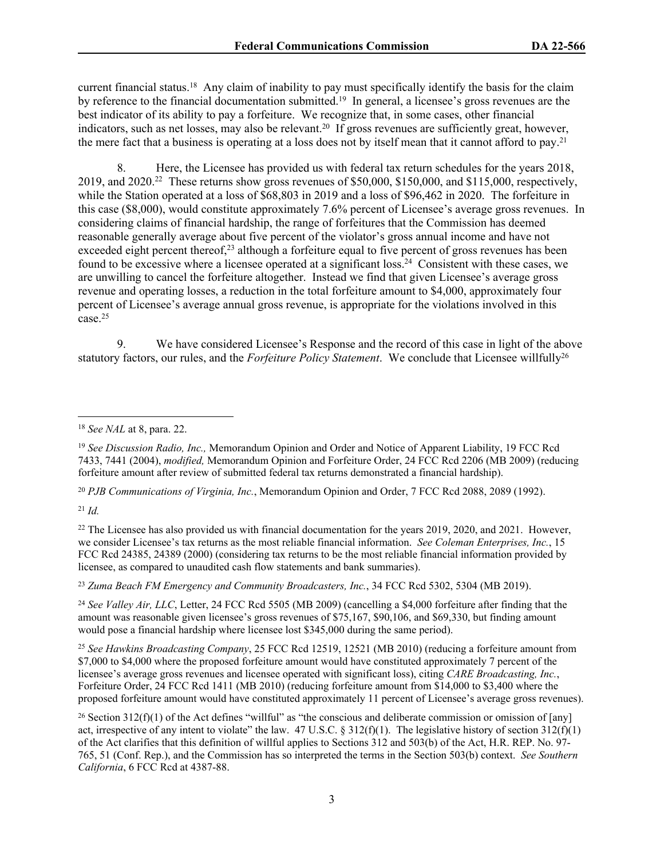current financial status.<sup>18</sup> Any claim of inability to pay must specifically identify the basis for the claim by reference to the financial documentation submitted.<sup>19</sup> In general, a licensee's gross revenues are the best indicator of its ability to pay a forfeiture. We recognize that, in some cases, other financial indicators, such as net losses, may also be relevant.<sup>20</sup> If gross revenues are sufficiently great, however, the mere fact that a business is operating at a loss does not by itself mean that it cannot afford to pay.<sup>21</sup>

8. Here, the Licensee has provided us with federal tax return schedules for the years 2018, 2019, and  $2020<sup>22</sup>$  These returns show gross revenues of \$50,000, \$150,000, and \$115,000, respectively, while the Station operated at a loss of \$68,803 in 2019 and a loss of \$96,462 in 2020. The forfeiture in this case (\$8,000), would constitute approximately 7.6% percent of Licensee's average gross revenues. In considering claims of financial hardship, the range of forfeitures that the Commission has deemed reasonable generally average about five percent of the violator's gross annual income and have not exceeded eight percent thereof,<sup>23</sup> although a forfeiture equal to five percent of gross revenues has been found to be excessive where a licensee operated at a significant loss.<sup>24</sup> Consistent with these cases, we are unwilling to cancel the forfeiture altogether. Instead we find that given Licensee's average gross revenue and operating losses, a reduction in the total forfeiture amount to \$4,000, approximately four percent of Licensee's average annual gross revenue, is appropriate for the violations involved in this case.<sup>25</sup>

9. We have considered Licensee's Response and the record of this case in light of the above statutory factors, our rules, and the *Forfeiture Policy Statement*. We conclude that Licensee willfully<sup>26</sup>

<sup>20</sup> *PJB Communications of Virginia, Inc.*, Memorandum Opinion and Order, 7 FCC Rcd 2088, 2089 (1992).

<sup>21</sup> *Id.*

<sup>22</sup> The Licensee has also provided us with financial documentation for the years 2019, 2020, and 2021. However, we consider Licensee's tax returns as the most reliable financial information. *See Coleman Enterprises, Inc.*, 15 FCC Rcd 24385, 24389 (2000) (considering tax returns to be the most reliable financial information provided by licensee, as compared to unaudited cash flow statements and bank summaries).

<sup>23</sup> *Zuma Beach FM Emergency and Community Broadcasters, Inc.*, 34 FCC Rcd 5302, 5304 (MB 2019).

<sup>24</sup> *See Valley Air, LLC*, Letter, 24 FCC Rcd 5505 (MB 2009) (cancelling a \$4,000 forfeiture after finding that the amount was reasonable given licensee's gross revenues of \$75,167, \$90,106, and \$69,330, but finding amount would pose a financial hardship where licensee lost \$345,000 during the same period).

<sup>25</sup> *See Hawkins Broadcasting Company*, 25 FCC Rcd 12519, 12521 (MB 2010) (reducing a forfeiture amount from \$7,000 to \$4,000 where the proposed forfeiture amount would have constituted approximately 7 percent of the licensee's average gross revenues and licensee operated with significant loss), citing *CARE Broadcasting, Inc.*, Forfeiture Order, 24 FCC Rcd 1411 (MB 2010) (reducing forfeiture amount from \$14,000 to \$3,400 where the proposed forfeiture amount would have constituted approximately 11 percent of Licensee's average gross revenues).

<sup>26</sup> Section 312(f)(1) of the Act defines "willful" as "the conscious and deliberate commission or omission of [any] act, irrespective of any intent to violate" the law. 47 U.S.C. § 312(f)(1). The legislative history of section 312(f)(1) of the Act clarifies that this definition of willful applies to Sections 312 and 503(b) of the Act, H.R. REP. No. 97- 765, 51 (Conf. Rep.), and the Commission has so interpreted the terms in the Section 503(b) context. *See Southern California*, 6 FCC Rcd at 4387-88.

<sup>18</sup> *See NAL* at 8, para. 22.

<sup>19</sup> *See Discussion Radio, Inc.,* Memorandum Opinion and Order and Notice of Apparent Liability, 19 FCC Rcd 7433, 7441 (2004), *modified,* Memorandum Opinion and Forfeiture Order, 24 FCC Rcd 2206 (MB 2009) (reducing forfeiture amount after review of submitted federal tax returns demonstrated a financial hardship).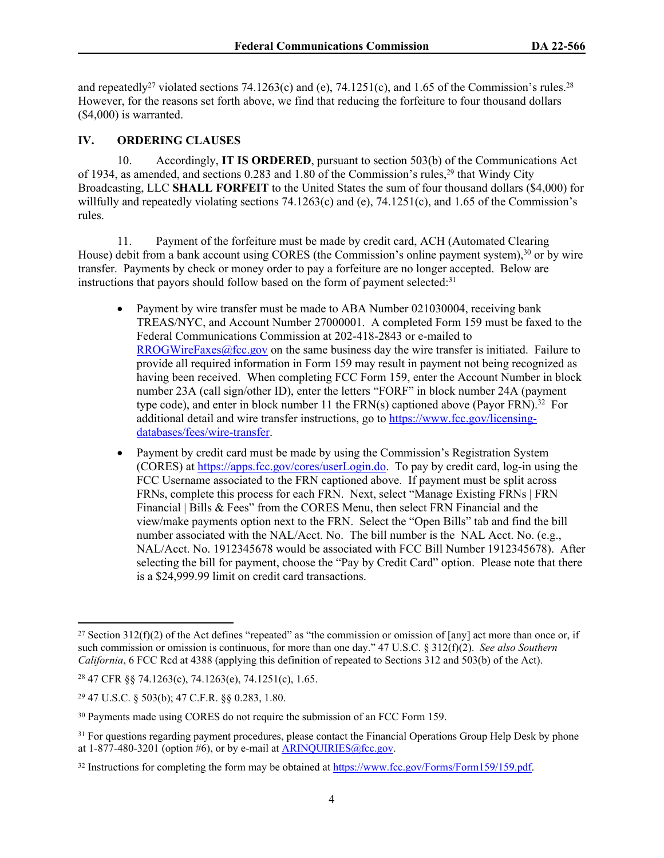and repeatedly<sup>27</sup> violated sections 74.1263(c) and (e), 74.1251(c), and 1.65 of the Commission's rules.<sup>28</sup> However, for the reasons set forth above, we find that reducing the forfeiture to four thousand dollars (\$4,000) is warranted.

### **IV. ORDERING CLAUSES**

10. Accordingly, **IT IS ORDERED**, pursuant to section 503(b) of the Communications Act of 1934, as amended, and sections 0.283 and 1.80 of the Commission's rules,<sup>29</sup> that Windy City Broadcasting, LLC **SHALL FORFEIT** to the United States the sum of four thousand dollars (\$4,000) for willfully and repeatedly violating sections 74.1263(c) and (e),  $74.1251(c)$ , and 1.65 of the Commission's rules.

11. Payment of the forfeiture must be made by credit card, ACH (Automated Clearing House) debit from a bank account using CORES (the Commission's online payment system),<sup>30</sup> or by wire transfer. Payments by check or money order to pay a forfeiture are no longer accepted. Below are instructions that payors should follow based on the form of payment selected: $31$ 

- Payment by wire transfer must be made to ABA Number 021030004, receiving bank TREAS/NYC, and Account Number 27000001. A completed Form 159 must be faxed to the Federal Communications Commission at 202-418-2843 or e-mailed to [RROGWireFaxes@fcc.gov](mailto:RROGWireFaxes@fcc.gov) on the same business day the wire transfer is initiated. Failure to provide all required information in Form 159 may result in payment not being recognized as having been received. When completing FCC Form 159, enter the Account Number in block number 23A (call sign/other ID), enter the letters "FORF" in block number 24A (payment type code), and enter in block number 11 the  $FRN(s)$  captioned above (Payor  $FRN$ ).<sup>32</sup> For additional detail and wire transfer instructions, go to [https://www.fcc.gov/licensing](https://www.fcc.gov/licensing-databases/fees/wire-transfer)[databases/fees/wire-transfer.](https://www.fcc.gov/licensing-databases/fees/wire-transfer)
- Payment by credit card must be made by using the Commission's Registration System (CORES) at<https://apps.fcc.gov/cores/userLogin.do>. To pay by credit card, log-in using the FCC Username associated to the FRN captioned above. If payment must be split across FRNs, complete this process for each FRN. Next, select "Manage Existing FRNs | FRN Financial | Bills & Fees" from the CORES Menu, then select FRN Financial and the view/make payments option next to the FRN. Select the "Open Bills" tab and find the bill number associated with the NAL/Acct. No. The bill number is the NAL Acct. No. (e.g., NAL/Acct. No. 1912345678 would be associated with FCC Bill Number 1912345678). After selecting the bill for payment, choose the "Pay by Credit Card" option. Please note that there is a \$24,999.99 limit on credit card transactions.

<sup>&</sup>lt;sup>27</sup> Section 312(f)(2) of the Act defines "repeated" as "the commission or omission of [any] act more than once or, if such commission or omission is continuous, for more than one day." 47 U.S.C. § 312(f)(2). *See also Southern California*, 6 FCC Rcd at 4388 (applying this definition of repeated to Sections 312 and 503(b) of the Act).

<sup>28</sup> 47 CFR §§ 74.1263(c), 74.1263(e), 74.1251(c), 1.65.

<sup>29</sup> 47 U.S.C. § 503(b); 47 C.F.R. §§ 0.283, 1.80.

<sup>30</sup> Payments made using CORES do not require the submission of an FCC Form 159.

<sup>&</sup>lt;sup>31</sup> For questions regarding payment procedures, please contact the Financial Operations Group Help Desk by phone at  $1-877-480-3201$  (option #6), or by e-mail at [ARINQUIRIES@fcc.gov.](mailto:ARINQUIRIES@fcc.gov)

<sup>32</sup> Instructions for completing the form may be obtained at<https://www.fcc.gov/Forms/Form159/159.pdf>.